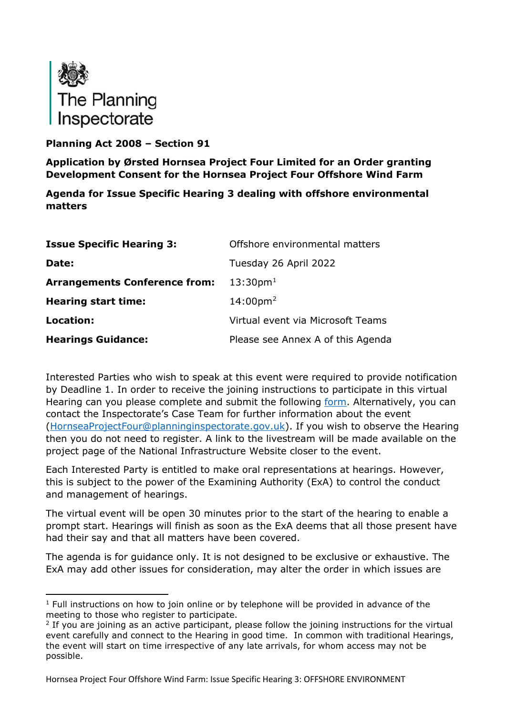

## **Planning Act 2008 – Section 91**

**Application by Ørsted Hornsea Project Four Limited for an Order granting Development Consent for the Hornsea Project Four Offshore Wind Farm**

**Agenda for Issue Specific Hearing 3 dealing with offshore environmental matters** 

| <b>Issue Specific Hearing 3:</b>     | Offshore environmental matters    |
|--------------------------------------|-----------------------------------|
| Date:                                | Tuesday 26 April 2022             |
| <b>Arrangements Conference from:</b> | $13:30$ pm <sup>1</sup>           |
| <b>Hearing start time:</b>           | $14:00 \text{pm}^2$               |
| Location:                            | Virtual event via Microsoft Teams |
| <b>Hearings Guidance:</b>            | Please see Annex A of this Agenda |

Interested Parties who wish to speak at this event were required to provide notification by Deadline 1. In order to receive the joining instructions to participate in this virtual Hearing can you please complete and submit the following [form.](https://forms.office.com/pages/responsepage.aspx?id=mN94WIhvq0iTIpmM5VcIje6FHDvzmKBHiEi84DrjxWpUOEJNN00zTTVVTzhaVUxBSU1KTkFMUjY5SC4u) Alternatively, you can contact the Inspectorate's Case Team for further information about the event [\(HornseaProjectFour@planninginspectorate.gov.uk\)](mailto:HornseaProjectFour@planninginspectorate.gov.uk). If you wish to observe the Hearing then you do not need to register. A link to the livestream will be made available on the project page of the National Infrastructure Website closer to the event.

Each Interested Party is entitled to make oral representations at hearings. However, this is subject to the power of the Examining Authority (ExA) to control the conduct and management of hearings.

The virtual event will be open 30 minutes prior to the start of the hearing to enable a prompt start. Hearings will finish as soon as the ExA deems that all those present have had their say and that all matters have been covered.

The agenda is for guidance only. It is not designed to be exclusive or exhaustive. The ExA may add other issues for consideration, may alter the order in which issues are

<span id="page-0-0"></span> $1$  Full instructions on how to join online or by telephone will be provided in advance of the meeting to those who register to participate.

<span id="page-0-1"></span> $2$  If you are joining as an active participant, please follow the joining instructions for the virtual event carefully and connect to the Hearing in good time. In common with traditional Hearings, the event will start on time irrespective of any late arrivals, for whom access may not be possible.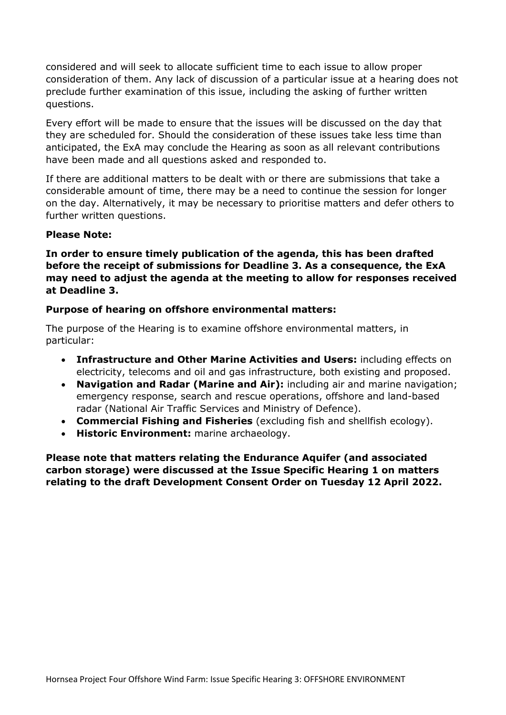considered and will seek to allocate sufficient time to each issue to allow proper consideration of them. Any lack of discussion of a particular issue at a hearing does not preclude further examination of this issue, including the asking of further written questions.

Every effort will be made to ensure that the issues will be discussed on the day that they are scheduled for. Should the consideration of these issues take less time than anticipated, the ExA may conclude the Hearing as soon as all relevant contributions have been made and all questions asked and responded to.

If there are additional matters to be dealt with or there are submissions that take a considerable amount of time, there may be a need to continue the session for longer on the day. Alternatively, it may be necessary to prioritise matters and defer others to further written questions.

#### **Please Note:**

**In order to ensure timely publication of the agenda, this has been drafted before the receipt of submissions for Deadline 3. As a consequence, the ExA may need to adjust the agenda at the meeting to allow for responses received at Deadline 3.**

#### **Purpose of hearing on offshore environmental matters:**

The purpose of the Hearing is to examine offshore environmental matters, in particular:

- **Infrastructure and Other Marine Activities and Users:** including effects on electricity, telecoms and oil and gas infrastructure, both existing and proposed.
- **Navigation and Radar (Marine and Air):** including air and marine navigation; emergency response, search and rescue operations, offshore and land-based radar (National Air Traffic Services and Ministry of Defence).
- **Commercial Fishing and Fisheries** (excluding fish and shellfish ecology).
- **Historic Environment:** marine archaeology.

**Please note that matters relating the Endurance Aquifer (and associated carbon storage) were discussed at the Issue Specific Hearing 1 on matters relating to the draft Development Consent Order on Tuesday 12 April 2022.**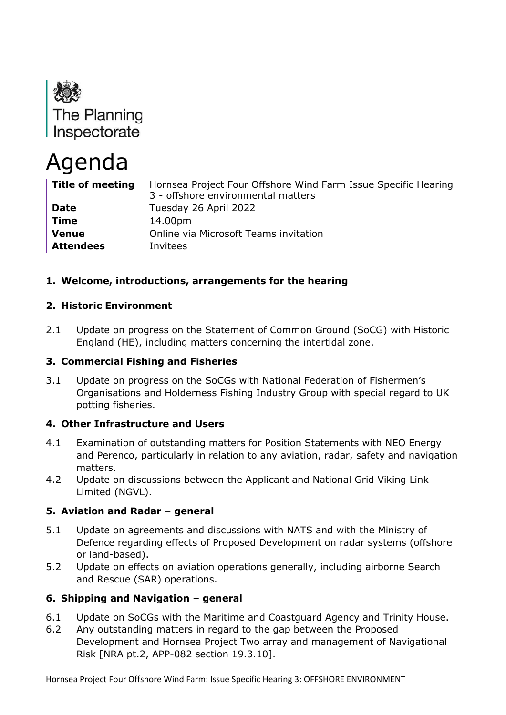

# Agenda

| <b>Title of meeting</b> | Hornsea Project Four Offshore Wind Farm Issue Specific Hearing<br>3 - offshore environmental matters |
|-------------------------|------------------------------------------------------------------------------------------------------|
| <b>Date</b>             | Tuesday 26 April 2022                                                                                |
| Time                    | 14.00pm                                                                                              |
| <b>Venue</b>            | Online via Microsoft Teams invitation                                                                |
| <b>Attendees</b>        | Invitees                                                                                             |

# **1. Welcome, introductions, arrangements for the hearing**

## **2. Historic Environment**

2.1 Update on progress on the Statement of Common Ground (SoCG) with Historic England (HE), including matters concerning the intertidal zone.

## **3. Commercial Fishing and Fisheries**

3.1 Update on progress on the SoCGs with National Federation of Fishermen's Organisations and Holderness Fishing Industry Group with special regard to UK potting fisheries.

## **4. Other Infrastructure and Users**

- 4.1 Examination of outstanding matters for Position Statements with NEO Energy and Perenco, particularly in relation to any aviation, radar, safety and navigation matters.
- 4.2 Update on discussions between the Applicant and National Grid Viking Link Limited (NGVL).

## **5. Aviation and Radar – general**

- 5.1 Update on agreements and discussions with NATS and with the Ministry of Defence regarding effects of Proposed Development on radar systems (offshore or land-based).
- 5.2 Update on effects on aviation operations generally, including airborne Search and Rescue (SAR) operations.

## **6. Shipping and Navigation – general**

- 6.1 Update on SoCGs with the Maritime and Coastguard Agency and Trinity House.
- 6.2 Any outstanding matters in regard to the gap between the Proposed Development and Hornsea Project Two array and management of Navigational Risk [NRA pt.2, APP-082 section 19.3.10].

Hornsea Project Four Offshore Wind Farm: Issue Specific Hearing 3: OFFSHORE ENVIRONMENT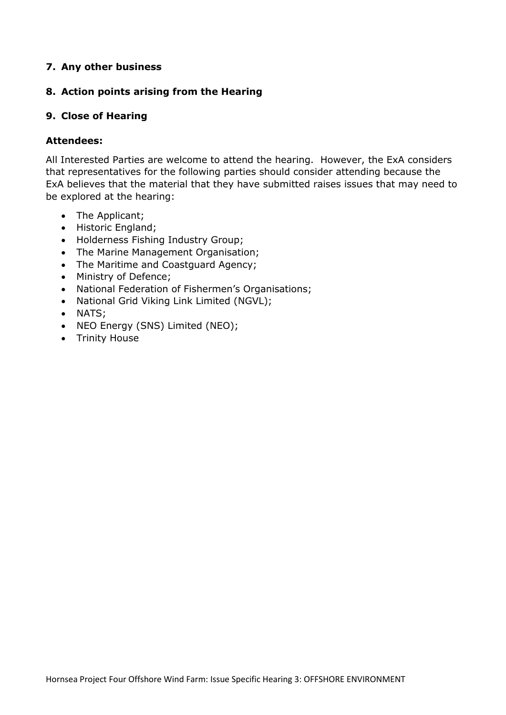#### **7. Any other business**

#### **8. Action points arising from the Hearing**

#### **9. Close of Hearing**

#### **Attendees:**

All Interested Parties are welcome to attend the hearing. However, the ExA considers that representatives for the following parties should consider attending because the ExA believes that the material that they have submitted raises issues that may need to be explored at the hearing:

- The Applicant;
- Historic England;
- Holderness Fishing Industry Group;
- The Marine Management Organisation;
- The Maritime and Coastguard Agency;
- Ministry of Defence;
- National Federation of Fishermen's Organisations;
- National Grid Viking Link Limited (NGVL);
- NATS;
- NEO Energy (SNS) Limited (NEO);
- Trinity House